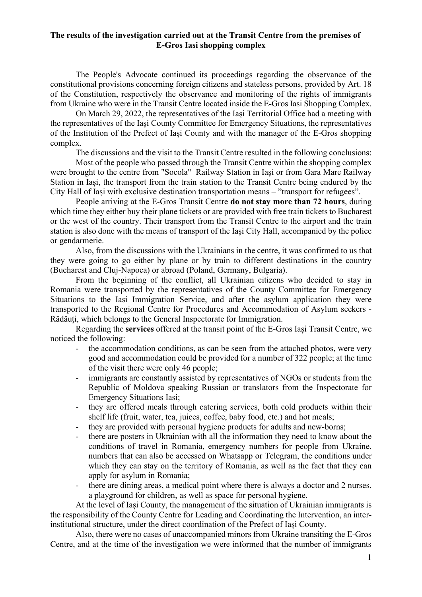## The results of the investigation carried out at the Transit Centre from the premises of E-Gros Iasi shopping complex

The People's Advocate continued its proceedings regarding the observance of the constitutional provisions concerning foreign citizens and stateless persons, provided by Art. 18 of the Constitution, respectively the observance and monitoring of the rights of immigrants from Ukraine who were in the Transit Centre located inside the E-Gros Iasi Shopping Complex.

On March 29, 2022, the representatives of the Iași Territorial Office had a meeting with the representatives of the Iași County Committee for Emergency Situations, the representatives of the Institution of the Prefect of Iași County and with the manager of the E-Gros shopping complex.

The discussions and the visit to the Transit Centre resulted in the following conclusions:

Most of the people who passed through the Transit Centre within the shopping complex were brought to the centre from "Socola" Railway Station in Iași or from Gara Mare Railway Station in Iași, the transport from the train station to the Transit Centre being endured by the City Hall of Iași with exclusive destination transportation means – "transport for refugees".

People arriving at the E-Gros Transit Centre **do not stay more than 72 hours**, during which time they either buy their plane tickets or are provided with free train tickets to Bucharest or the west of the country. Their transport from the Transit Centre to the airport and the train station is also done with the means of transport of the Iași City Hall, accompanied by the police or gendarmerie.

Also, from the discussions with the Ukrainians in the centre, it was confirmed to us that they were going to go either by plane or by train to different destinations in the country (Bucharest and Cluj-Napoca) or abroad (Poland, Germany, Bulgaria).

From the beginning of the conflict, all Ukrainian citizens who decided to stay in Romania were transported by the representatives of the County Committee for Emergency Situations to the Iasi Immigration Service, and after the asylum application they were transported to the Regional Centre for Procedures and Accommodation of Asylum seekers - Rădăuți, which belongs to the General Inspectorate for Immigration.

Regarding the services offered at the transit point of the E-Gros Iași Transit Centre, we noticed the following:

- the accommodation conditions, as can be seen from the attached photos, were very good and accommodation could be provided for a number of 322 people; at the time of the visit there were only 46 people;
- immigrants are constantly assisted by representatives of NGOs or students from the Republic of Moldova speaking Russian or translators from the Inspectorate for Emergency Situations Iasi;
- they are offered meals through catering services, both cold products within their shelf life (fruit, water, tea, juices, coffee, baby food, etc.) and hot meals;
- they are provided with personal hygiene products for adults and new-borns;
- there are posters in Ukrainian with all the information they need to know about the conditions of travel in Romania, emergency numbers for people from Ukraine, numbers that can also be accessed on Whatsapp or Telegram, the conditions under which they can stay on the territory of Romania, as well as the fact that they can apply for asylum in Romania;
- there are dining areas, a medical point where there is always a doctor and 2 nurses, a playground for children, as well as space for personal hygiene.

At the level of Iași County, the management of the situation of Ukrainian immigrants is the responsibility of the County Centre for Leading and Coordinating the Intervention, an interinstitutional structure, under the direct coordination of the Prefect of Iași County.

Also, there were no cases of unaccompanied minors from Ukraine transiting the E-Gros Centre, and at the time of the investigation we were informed that the number of immigrants